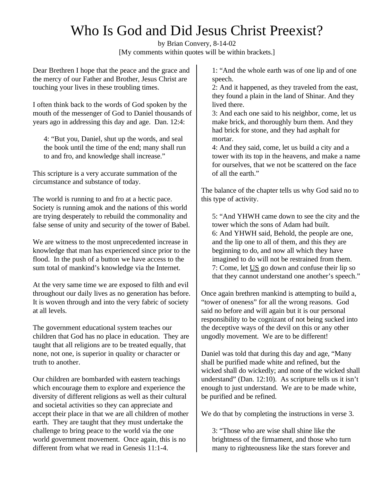# Who Is God and Did Jesus Christ Preexist?

by Brian Convery, 8-14-02 [My comments within quotes will be within brackets.]

Dear Brethren I hope that the peace and the grace and the mercy of our Father and Brother, Jesus Christ are touching your lives in these troubling times.

I often think back to the words of God spoken by the mouth of the messenger of God to Daniel thousands of years ago in addressing this day and age. Dan. 12:4:

4: "But you, Daniel, shut up the words, and seal the book until the time of the end; many shall run to and fro, and knowledge shall increase."

This scripture is a very accurate summation of the circumstance and substance of today.

The world is running to and fro at a hectic pace. Society is running amok and the nations of this world are trying desperately to rebuild the commonality and false sense of unity and security of the tower of Babel.

We are witness to the most unprecedented increase in knowledge that man has experienced since prior to the flood. In the push of a button we have access to the sum total of mankind's knowledge via the Internet.

At the very same time we are exposed to filth and evil throughout our daily lives as no generation has before. It is woven through and into the very fabric of society at all levels.

The government educational system teaches our children that God has no place in education. They are taught that all religions are to be treated equally, that none, not one, is superior in quality or character or truth to another.

Our children are bombarded with eastern teachings which encourage them to explore and experience the diversity of different religions as well as their cultural and societal activities so they can appreciate and accept their place in that we are all children of mother earth. They are taught that they must undertake the challenge to bring peace to the world via the one world government movement. Once again, this is no different from what we read in Genesis 11:1-4.

1: "And the whole earth was of one lip and of one speech.

2: And it happened, as they traveled from the east, they found a plain in the land of Shinar. And they lived there.

3: And each one said to his neighbor, come, let us make brick, and thoroughly burn them. And they had brick for stone, and they had asphalt for mortar.

4: And they said, come, let us build a city and a tower with its top in the heavens, and make a name for ourselves, that we not be scattered on the face of all the earth."

The balance of the chapter tells us why God said no to this type of activity.

5: "And YHWH came down to see the city and the tower which the sons of Adam had built. 6: And YHWH said, Behold, the people are one, and the lip one to all of them, and this they are beginning to do, and now all which they have imagined to do will not be restrained from them. 7: Come, let US go down and confuse their lip so that they cannot understand one another's speech."

Once again brethren mankind is attempting to build a, "tower of oneness" for all the wrong reasons. God said no before and will again but it is our personal responsibility to be cognizant of not being sucked into the deceptive ways of the devil on this or any other ungodly movement. We are to be different!

Daniel was told that during this day and age, "Many shall be purified made white and refined, but the wicked shall do wickedly; and none of the wicked shall understand" (Dan. 12:10). As scripture tells us it isn't enough to just understand. We are to be made white, be purified and be refined.

We do that by completing the instructions in verse 3.

3: "Those who are wise shall shine like the brightness of the firmament, and those who turn many to righteousness like the stars forever and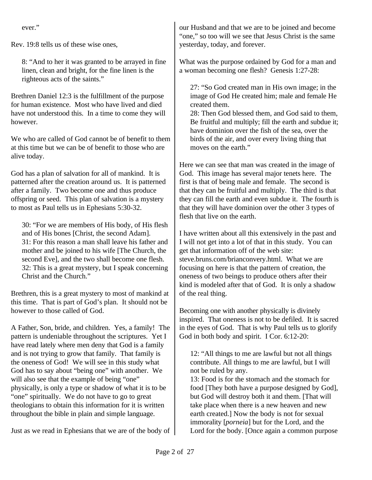ever."

Rev. 19:8 tells us of these wise ones,

8: "And to her it was granted to be arrayed in fine linen, clean and bright, for the fine linen is the righteous acts of the saints."

Brethren Daniel 12:3 is the fulfillment of the purpose for human existence. Most who have lived and died have not understood this. In a time to come they will however.

We who are called of God cannot be of benefit to them at this time but we can be of benefit to those who are alive today.

God has a plan of salvation for all of mankind. It is patterned after the creation around us. It is patterned after a family. Two become one and thus produce offspring or seed. This plan of salvation is a mystery to most as Paul tells us in Ephesians 5:30-32.

30: "For we are members of His body, of His flesh and of His bones [Christ, the second Adam]. 31: For this reason a man shall leave his father and mother and be joined to his wife [The Church, the second Eve], and the two shall become one flesh. 32: This is a great mystery, but I speak concerning Christ and the Church."

Brethren, this is a great mystery to most of mankind at this time. That is part of God's plan. It should not be however to those called of God.

A Father, Son, bride, and children. Yes, a family! The pattern is undeniable throughout the scriptures. Yet I have read lately where men deny that God is a family and is not trying to grow that family. That family is the oneness of God! We will see in this study what God has to say about "being one" with another. We will also see that the example of being "one" physically, is only a type or shadow of what it is to be "one" spiritually. We do not have to go to great theologians to obtain this information for it is written throughout the bible in plain and simple language.

Just as we read in Ephesians that we are of the body of

our Husband and that we are to be joined and become "one," so too will we see that Jesus Christ is the same yesterday, today, and forever.

What was the purpose ordained by God for a man and a woman becoming one flesh? Genesis 1:27-28:

27: "So God created man in His own image; in the image of God He created him; male and female He created them.

28: Then God blessed them, and God said to them, Be fruitful and multiply; fill the earth and subdue it; have dominion over the fish of the sea, over the birds of the air, and over every living thing that moves on the earth."

Here we can see that man was created in the image of God. This image has several major tenets here. The first is that of being male and female. The second is that they can be fruitful and multiply. The third is that they can fill the earth and even subdue it. The fourth is that they will have dominion over the other 3 types of flesh that live on the earth.

I have written about all this extensively in the past and I will not get into a lot of that in this study. You can get that information off of the web site: steve.bruns.com/brianconvery.html. What we are focusing on here is that the pattern of creation, the oneness of two beings to produce others after their kind is modeled after that of God. It is only a shadow of the real thing.

Becoming one with another physically is divinely inspired. That oneness is not to be defiled. It is sacred in the eyes of God. That is why Paul tells us to glorify God in both body and spirit. I Cor. 6:12-20:

12: "All things to me are lawful but not all things contribute. All things to me are lawful, but I will not be ruled by any.

13: Food is for the stomach and the stomach for food [They both have a purpose designed by God], but God will destroy both it and them. [That will take place when there is a new heaven and new earth created.] Now the body is not for sexual immorality [*porneia*] but for the Lord, and the Lord for the body. [Once again a common purpose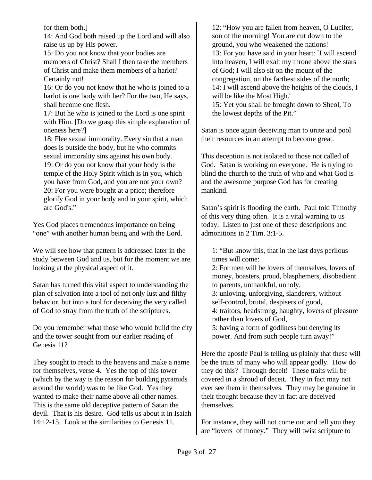for them both.]

14: And God both raised up the Lord and will also raise us up by His power.

15: Do you not know that your bodies are members of Christ? Shall I then take the members of Christ and make them members of a harlot? Certainly not!

16: Or do you not know that he who is joined to a harlot is one body with her? For the two, He says, shall become one flesh.

17: But he who is joined to the Lord is one spirit with Him. [Do we grasp this simple explanation of oneness here?]

18: Flee sexual immorality. Every sin that a man does is outside the body, but he who commits sexual immorality sins against his own body. 19: Or do you not know that your body is the temple of the Holy Spirit which is in you, which you have from God, and you are not your own? 20: For you were bought at a price; therefore

glorify God in your body and in your spirit, which are God's."

Yes God places tremendous importance on being "one" with another human being and with the Lord.

We will see how that pattern is addressed later in the study between God and us, but for the moment we are looking at the physical aspect of it.

Satan has turned this vital aspect to understanding the plan of salvation into a tool of not only lust and filthy behavior, but into a tool for deceiving the very called of God to stray from the truth of the scriptures.

Do you remember what those who would build the city and the tower sought from our earlier reading of Genesis 11?

They sought to reach to the heavens and make a name for themselves, verse 4. Yes the top of this tower (which by the way is the reason for building pyramids around the world) was to be like God. Yes they wanted to make their name above all other names. This is the same old deceptive pattern of Satan the devil. That is his desire. God tells us about it in Isaiah 14:12-15. Look at the similarities to Genesis 11.

12: "How you are fallen from heaven, O Lucifer, son of the morning! You are cut down to the ground, you who weakened the nations! 13: For you have said in your heart: `I will ascend into heaven, I will exalt my throne above the stars of God; I will also sit on the mount of the congregation, on the farthest sides of the north; 14: I will ascend above the heights of the clouds, I will be like the Most High.'

15: Yet you shall be brought down to Sheol, To the lowest depths of the Pit."

Satan is once again deceiving man to unite and pool their resources in an attempt to become great.

This deception is not isolated to those not called of God. Satan is working on everyone. He is trying to blind the church to the truth of who and what God is and the awesome purpose God has for creating mankind.

Satan's spirit is flooding the earth. Paul told Timothy of this very thing often. It is a vital warning to us today. Listen to just one of these descriptions and admonitions in 2 Tim. 3:1-5.

1: "But know this, that in the last days perilous times will come:

2: For men will be lovers of themselves, lovers of money, boasters, proud, blasphemers, disobedient to parents, unthankful, unholy,

3: unloving, unforgiving, slanderers, without self-control, brutal, despisers of good,

4: traitors, headstrong, haughty, lovers of pleasure rather than lovers of God,

5: having a form of godliness but denying its power. And from such people turn away!"

Here the apostle Paul is telling us plainly that these will be the traits of many who will appear godly. How do they do this? Through deceit! These traits will be covered in a shroud of deceit. They in fact may not ever see them in themselves. They may be genuine in their thought because they in fact are deceived themselves.

For instance, they will not come out and tell you they are "lovers of money." They will twist scripture to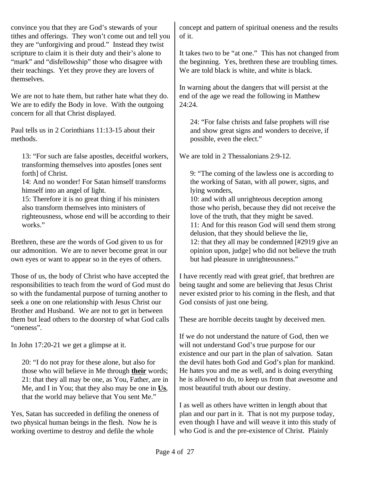convince you that they are God's stewards of your tithes and offerings. They won't come out and tell you they are "unforgiving and proud." Instead they twist scripture to claim it is their duty and their's alone to "mark" and "disfellowship" those who disagree with their teachings. Yet they prove they are lovers of themselves.

We are not to hate them, but rather hate what they do. We are to edify the Body in love. With the outgoing concern for all that Christ displayed.

Paul tells us in 2 Corinthians 11:13-15 about their methods.

13: "For such are false apostles, deceitful workers, transforming themselves into apostles [ones sent forth] of Christ.

14: And no wonder! For Satan himself transforms himself into an angel of light.

15: Therefore it is no great thing if his ministers also transform themselves into ministers of righteousness, whose end will be according to their works."

Brethren, these are the words of God given to us for our admonition. We are to never become great in our own eyes or want to appear so in the eyes of others.

Those of us, the body of Christ who have accepted the responsibilities to teach from the word of God must do so with the fundamental purpose of turning another to seek a one on one relationship with Jesus Christ our Brother and Husband. We are not to get in between them but lead others to the doorstep of what God calls "oneness".

In John 17:20-21 we get a glimpse at it.

20: "I do not pray for these alone, but also for those who will believe in Me through **their** words; 21: that they all may be one, as You, Father, are in Me, and I in You; that they also may be one in **Us**, that the world may believe that You sent Me."

Yes, Satan has succeeded in defiling the oneness of two physical human beings in the flesh. Now he is working overtime to destroy and defile the whole

concept and pattern of spiritual oneness and the results of it.

It takes two to be "at one." This has not changed from the beginning. Yes, brethren these are troubling times. We are told black is white, and white is black.

In warning about the dangers that will persist at the end of the age we read the following in Matthew 24:24.

24: "For false christs and false prophets will rise and show great signs and wonders to deceive, if possible, even the elect."

We are told in 2 Thessalonians 2:9-12.

9: "The coming of the lawless one is according to the working of Satan, with all power, signs, and lying wonders,

10: and with all unrighteous deception among those who perish, because they did not receive the love of the truth, that they might be saved. 11: And for this reason God will send them strong delusion, that they should believe the lie, 12: that they all may be condemned [#2919 give an opinion upon, judge] who did not believe the truth but had pleasure in unrighteousness."

I have recently read with great grief, that brethren are being taught and some are believing that Jesus Christ never existed prior to his coming in the flesh, and that God consists of just one being.

These are horrible deceits taught by deceived men.

If we do not understand the nature of God, then we will not understand God's true purpose for our existence and our part in the plan of salvation. Satan the devil hates both God and God's plan for mankind. He hates you and me as well, and is doing everything he is allowed to do, to keep us from that awesome and most beautiful truth about our destiny.

I as well as others have written in length about that plan and our part in it. That is not my purpose today, even though I have and will weave it into this study of who God is and the pre-existence of Christ. Plainly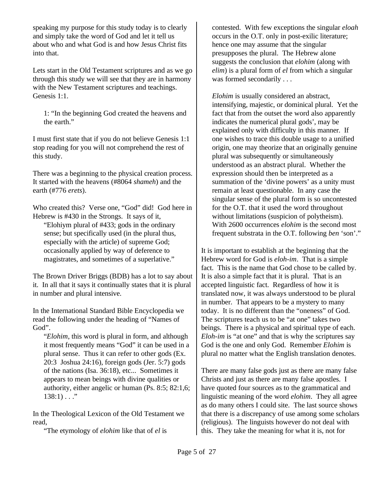speaking my purpose for this study today is to clearly and simply take the word of God and let it tell us about who and what God is and how Jesus Christ fits into that.

Lets start in the Old Testament scriptures and as we go through this study we will see that they are in harmony with the New Testament scriptures and teachings. Genesis 1:1.

1: "In the beginning God created the heavens and the earth."

I must first state that if you do not believe Genesis 1:1 stop reading for you will not comprehend the rest of this study.

There was a beginning to the physical creation process. It started with the heavens (#8064 *shameh*) and the earth (#776 *erets*).

Who created this? Verse one, "God" did! God here in Hebrew is #430 in the Strongs. It says of it,

"Elohiym plural of #433; gods in the ordinary sense; but specifically used (in the plural thus, especially with the article) of supreme God; occasionally applied by way of deference to magistrates, and sometimes of a superlative."

The Brown Driver Briggs (BDB) has a lot to say about it. In all that it says it continually states that it is plural in number and plural intensive.

In the International Standard Bible Encyclopedia we read the following under the heading of "Names of God".

"*Elohim*, this word is plural in form, and although it most frequently means "God" it can be used in a plural sense. Thus it can refer to other gods (Ex. 20:3 Joshua 24:16), foreign gods (Jer. 5:7) gods of the nations (Isa. 36:18), etc... Sometimes it appears to mean beings with divine qualities or authority, either angelic or human (Ps. 8:5; 82:1,6;  $138:1) \ldots$ "

In the Theological Lexicon of the Old Testament we read,

"The etymology of *elohim* like that of *el* is

contested. With few exceptions the singular *eloah* occurs in the O.T. only in post-exilic literature; hence one may assume that the singular presupposes the plural. The Hebrew alone suggests the conclusion that *elohim* (along with *elim*) is a plural form of *el* from which a singular was formed secondarily . . .

*Elohim* is usually considered an abstract, intensifying, majestic, or dominical plural. Yet the fact that from the outset the word also apparently indicates the numerical plural gods', may be explained only with difficulty in this manner. If one wishes to trace this double usage to a unified origin, one may theorize that an originally genuine plural was subsequently or simultaneously understood as an abstract plural. Whether the expression should then be interpreted as a summation of the 'divine powers' as a unity must remain at least questionable. In any case the singular sense of the plural form is so uncontested for the O.T. that it used the word throughout without limitations (suspicion of polytheism). With 2600 occurrences *elohim* is the second most frequent substrata in the O.T. following *ben* 'son'."

It is important to establish at the beginning that the Hebrew word for God is *eloh-im*. That is a simple fact. This is the name that God chose to be called by. It is also a simple fact that it is plural. That is an accepted linguistic fact. Regardless of how it is translated now, it was always understood to be plural in number. That appears to be a mystery to many today. It is no different than the "oneness" of God. The scriptures teach us to be "at one" takes two beings. There is a physical and spiritual type of each. *Eloh-im* is "at one" and that is why the scriptures say God is the one and only God. Remember *Elohim* is plural no matter what the English translation denotes.

There are many false gods just as there are many false Christs and just as there are many false apostles. I have quoted four sources as to the grammatical and linguistic meaning of the word *elohim*. They all agree as do many others I could site. The last source shows that there is a discrepancy of use among some scholars (religious). The linguists however do not deal with this. They take the meaning for what it is, not for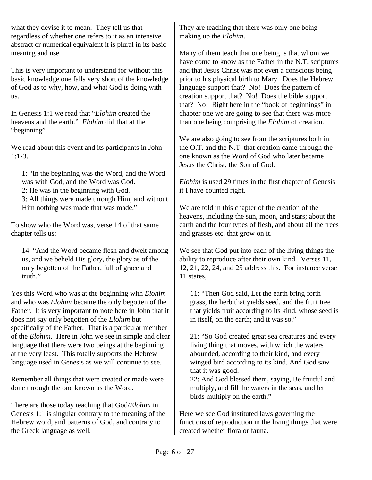what they devise it to mean. They tell us that regardless of whether one refers to it as an intensive abstract or numerical equivalent it is plural in its basic meaning and use.

This is very important to understand for without this basic knowledge one falls very short of the knowledge of God as to why, how, and what God is doing with us.

In Genesis 1:1 we read that "*Elohim* created the heavens and the earth." *Elohim* did that at the "beginning".

We read about this event and its participants in John 1:1-3.

1: "In the beginning was the Word, and the Word was with God, and the Word was God. 2: He was in the beginning with God. 3: All things were made through Him, and without Him nothing was made that was made."

To show who the Word was, verse 14 of that same chapter tells us:

14: "And the Word became flesh and dwelt among us, and we beheld His glory, the glory as of the only begotten of the Father, full of grace and truth."

Yes this Word who was at the beginning with *Elohim* and who was *Elohim* became the only begotten of the Father. It is very important to note here in John that it does not say only begotten of the *Elohim* but specifically of the Father. That is a particular member of the *Elohim*. Here in John we see in simple and clear language that there were two beings at the beginning at the very least. This totally supports the Hebrew language used in Genesis as we will continue to see.

Remember all things that were created or made were done through the one known as the Word.

There are those today teaching that God/*Elohim* in Genesis 1:1 is singular contrary to the meaning of the Hebrew word, and patterns of God, and contrary to the Greek language as well.

They are teaching that there was only one being making up the *Elohim*.

Many of them teach that one being is that whom we have come to know as the Father in the N.T. scriptures and that Jesus Christ was not even a conscious being prior to his physical birth to Mary. Does the Hebrew language support that? No! Does the pattern of creation support that? No! Does the bible support that? No! Right here in the "book of beginnings" in chapter one we are going to see that there was more than one being comprising the *Elohim* of creation.

We are also going to see from the scriptures both in the O.T. and the N.T. that creation came through the one known as the Word of God who later became Jesus the Christ, the Son of God.

*Elohim* is used 29 times in the first chapter of Genesis if I have counted right.

We are told in this chapter of the creation of the heavens, including the sun, moon, and stars; about the earth and the four types of flesh, and about all the trees and grasses etc. that grow on it.

We see that God put into each of the living things the ability to reproduce after their own kind. Verses 11, 12, 21, 22, 24, and 25 address this. For instance verse 11 states,

11: "Then God said, Let the earth bring forth grass, the herb that yields seed, and the fruit tree that yields fruit according to its kind, whose seed is in itself, on the earth; and it was so."

21: "So God created great sea creatures and every living thing that moves, with which the waters abounded, according to their kind, and every winged bird according to its kind. And God saw that it was good.

22: And God blessed them, saying, Be fruitful and multiply, and fill the waters in the seas, and let birds multiply on the earth."

Here we see God instituted laws governing the functions of reproduction in the living things that were created whether flora or fauna.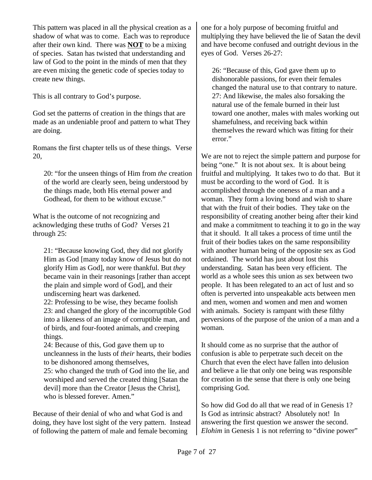This pattern was placed in all the physical creation as a shadow of what was to come. Each was to reproduce after their own kind. There was **NOT** to be a mixing of species. Satan has twisted that understanding and law of God to the point in the minds of men that they are even mixing the genetic code of species today to create new things.

This is all contrary to God's purpose.

God set the patterns of creation in the things that are made as an undeniable proof and pattern to what They are doing.

Romans the first chapter tells us of these things. Verse 20,

20: "for the unseen things of Him from *the* creation of the world are clearly seen, being understood by the things made, both His eternal power and Godhead, for them to be without excuse."

What is the outcome of not recognizing and acknowledging these truths of God? Verses 21 through 25:

21: "Because knowing God, they did not glorify Him as God [many today know of Jesus but do not glorify Him as God], nor were thankful. But *they* became vain in their reasonings [rather than accept the plain and simple word of God], and their undiscerning heart was darkened. 22: Professing to be wise, they became foolish 23: and changed the glory of the incorruptible God

into a likeness of an image of corruptible man, and of birds, and four-footed animals, and creeping things.

24: Because of this, God gave them up to uncleanness in the lusts of *their* hearts, their bodies to be dishonored among themselves,

25: who changed the truth of God into the lie, and worshiped and served the created thing [Satan the devil] more than the Creator [Jesus the Christ], who is blessed forever. Amen."

Because of their denial of who and what God is and doing, they have lost sight of the very pattern. Instead of following the pattern of male and female becoming

one for a holy purpose of becoming fruitful and multiplying they have believed the lie of Satan the devil and have become confused and outright devious in the eyes of God. Verses 26-27:

26: "Because of this, God gave them up to dishonorable passions, for even their females changed the natural use to that contrary to nature. 27: And likewise, the males also forsaking the natural use of the female burned in their lust toward one another, males with males working out shamefulness, and receiving back within themselves the reward which was fitting for their error."

We are not to reject the simple pattern and purpose for being "one." It is not about sex. It is about being fruitful and multiplying. It takes two to do that. But it must be according to the word of God. It is accomplished through the oneness of a man and a woman. They form a loving bond and wish to share that with the fruit of their bodies. They take on the responsibility of creating another being after their kind and make a commitment to teaching it to go in the way that it should. It all takes a process of time until the fruit of their bodies takes on the same responsibility with another human being of the opposite sex as God ordained. The world has just about lost this understanding. Satan has been very efficient. The world as a whole sees this union as sex between two people. It has been relegated to an act of lust and so often is perverted into unspeakable acts between men and men, women and women and men and women with animals. Society is rampant with these filthy perversions of the purpose of the union of a man and a woman.

It should come as no surprise that the author of confusion is able to perpetrate such deceit on the Church that even the elect have fallen into delusion and believe a lie that only one being was responsible for creation in the sense that there is only one being comprising God.

So how did God do all that we read of in Genesis 1? Is God as intrinsic abstract? Absolutely not! In answering the first question we answer the second. *Elohim* in Genesis 1 is not referring to "divine power"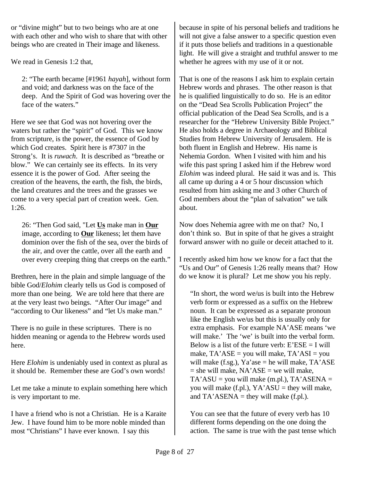or "divine might" but to two beings who are at one with each other and who wish to share that with other beings who are created in Their image and likeness.

We read in Genesis 1:2 that,

2: "The earth became [#1961 *hayah*], without form and void; and darkness was on the face of the deep. And the Spirit of God was hovering over the face of the waters."

Here we see that God was not hovering over the waters but rather the "spirit" of God. This we know from scripture, is the power, the essence of God by which God creates. Spirit here is #7307 in the Strong's. It is *ruwach*. It is described as "breathe or blow." We can certainly see its effects. In its very essence it is the power of God. After seeing the creation of the heavens, the earth, the fish, the birds, the land creatures and the trees and the grasses we come to a very special part of creation week. Gen. 1:26.

26: "Then God said, "Let **Us** make man in **Our** image, according to **Our** likeness; let them have dominion over the fish of the sea, over the birds of the air, and over the cattle, over all the earth and over every creeping thing that creeps on the earth."

Brethren, here in the plain and simple language of the bible God/*Elohim* clearly tells us God is composed of more than one being. We are told here that there are at the very least two beings. "After Our image" and "according to Our likeness" and "let Us make man."

There is no guile in these scriptures. There is no hidden meaning or agenda to the Hebrew words used here.

Here *Elohim* is undeniably used in context as plural as it should be. Remember these are God's own words!

Let me take a minute to explain something here which is very important to me.

I have a friend who is not a Christian. He is a Karaite Jew. I have found him to be more noble minded than most "Christians" I have ever known. I say this

because in spite of his personal beliefs and traditions he will not give a false answer to a specific question even if it puts those beliefs and traditions in a questionable light. He will give a straight and truthful answer to me whether he agrees with my use of it or not.

That is one of the reasons I ask him to explain certain Hebrew words and phrases. The other reason is that he is qualified linguistically to do so. He is an editor on the "Dead Sea Scrolls Publication Project" the official publication of the Dead Sea Scrolls, and is a researcher for the "Hebrew University Bible Project." He also holds a degree in Archaeology and Biblical Studies from Hebrew University of Jerusalem. He is both fluent in English and Hebrew. His name is Nehemia Gordon. When I visited with him and his wife this past spring I asked him if the Hebrew word *Elohim* was indeed plural. He said it was and is. This all came up during a 4 or 5 hour discussion which resulted from him asking me and 3 other Church of God members about the "plan of salvation" we talk about.

Now does Nehemia agree with me on that? No, I don't think so. But in spite of that he gives a straight forward answer with no guile or deceit attached to it.

I recently asked him how we know for a fact that the "Us and Our" of Genesis 1:26 really means that? How do we know it is plural? Let me show you his reply.

"In short, the word we/us is built into the Hebrew verb form or expressed as a suffix on the Hebrew noun. It can be expressed as a separate pronoun like the English we/us but this is usually only for extra emphasis. For example NA'ASE means 'we will make.' The 'we' is built into the verbal form. Below is a list of the future verb:  $E'ESE = I$  will make,  $TA'ASE = you will make,  $TA'ASI = you$$ will make  $(f.sg.)$ , Ya'ase = he will make, TA'ASE  $=$  she will make, NA'ASE  $=$  we will make,  $TA'ASU = you will make (m.pl.), TA'ASENA =$ you will make (f.pl.),  $YA'ASU =$  they will make, and  $TA'ASENA$  = they will make (f.pl.).

You can see that the future of every verb has 10 different forms depending on the one doing the action. The same is true with the past tense which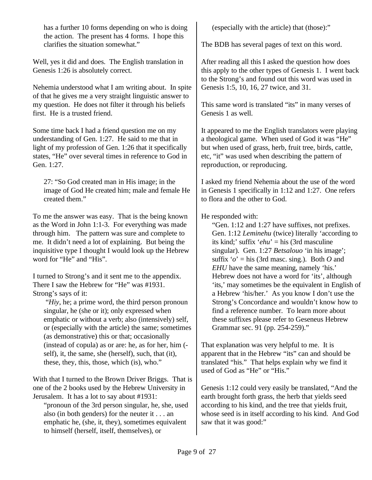has a further 10 forms depending on who is doing the action. The present has 4 forms. I hope this clarifies the situation somewhat."

Well, yes it did and does. The English translation in Genesis 1:26 is absolutely correct.

Nehemia understood what I am writing about. In spite of that he gives me a very straight linguistic answer to my question. He does not filter it through his beliefs first. He is a trusted friend.

Some time back I had a friend question me on my understanding of Gen. 1:27. He said to me that in light of my profession of Gen. 1:26 that it specifically states, "He" over several times in reference to God in Gen. 1:27.

27: "So God created man in His image; in the image of God He created him; male and female He created them."

To me the answer was easy. That is the being known as the Word in John 1:1-3. For everything was made through him. The pattern was sure and complete to me. It didn't need a lot of explaining. But being the inquisitive type I thought I would look up the Hebrew word for "He" and "His".

I turned to Strong's and it sent me to the appendix. There I saw the Hebrew for "He" was #1931. Strong's says of it:

 "*Hiy*, he; a prime word, the third person pronoun singular, he (she or it); only expressed when emphatic or without a verb; also (intensively) self, or (especially with the article) the same; sometimes (as demonstrative) this or that; occasionally (instead of copula) as or are: he, as for her, him ( self), it, the same, she (herself), such, that (it), these, they, this, those, which (is), who."

With that I turned to the Brown Driver Briggs. That is one of the 2 books used by the Hebrew University in Jerusalem. It has a lot to say about #1931:

"pronoun of the 3rd person singular, he, she, used also (in both genders) for the neuter it . . . an emphatic he, (she, it, they), sometimes equivalent to himself (herself, itself, themselves), or

(especially with the article) that (those):"

The BDB has several pages of text on this word.

After reading all this I asked the question how does this apply to the other types of Genesis 1. I went back to the Strong's and found out this word was used in Genesis 1:5, 10, 16, 27 twice, and 31.

This same word is translated "its" in many verses of Genesis 1 as well.

It appeared to me the English translators were playing a theological game. When used of God it was "He" but when used of grass, herb, fruit tree, birds, cattle, etc, "it" was used when describing the pattern of reproduction, or reproducing.

I asked my friend Nehemia about the use of the word in Genesis 1 specifically in 1:12 and 1:27. One refers to flora and the other to God.

## He responded with:

"Gen. 1:12 and 1:27 have suffixes, not prefixes. Gen. 1:12 *Leminehu* (twice) literally 'according to its kind;' suffix '*ehu*' = his (3rd masculine singular). Gen. 1:27 *Betsalouo* 'in his image'; suffix  $'o'$  = his (3rd masc. sing.). Both *O* and *EHU* have the same meaning, namely 'his.' Hebrew does not have a word for 'its', although 'its,' may sometimes be the equivalent in English of a Hebrew 'his/her.' As you know I don't use the Strong's Concordance and wouldn't know how to find a reference number. To learn more about these suffixes please refer to Geseneus Hebrew Grammar sec. 91 (pp. 254-259)."

That explanation was very helpful to me. It is apparent that in the Hebrew "its" can and should be translated "his." That helps explain why we find it used of God as "He" or "His."

Genesis 1:12 could very easily be translated, "And the earth brought forth grass, the herb that yields seed according to his kind, and the tree that yields fruit, whose seed is in itself according to his kind. And God saw that it was good:"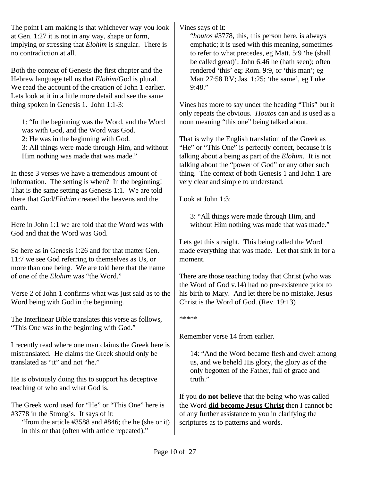The point I am making is that whichever way you look at Gen. 1:27 it is not in any way, shape or form, implying or stressing that *Elohim* is singular. There is no contradiction at all.

Both the context of Genesis the first chapter and the Hebrew language tell us that *Elohim*/God is plural. We read the account of the creation of John 1 earlier. Lets look at it in a little more detail and see the same thing spoken in Genesis 1. John 1:1-3:

1: "In the beginning was the Word, and the Word was with God, and the Word was God. 2: He was in the beginning with God. 3: All things were made through Him, and without Him nothing was made that was made."

In these 3 verses we have a tremendous amount of information. The setting is when? In the beginning! That is the same setting as Genesis 1:1. We are told there that God/*Elohim* created the heavens and the earth.

Here in John 1:1 we are told that the Word was with God and that the Word was God.

So here as in Genesis 1:26 and for that matter Gen. 11:7 we see God referring to themselves as Us, or more than one being. We are told here that the name of one of the *Elohim* was "the Word."

Verse 2 of John 1 confirms what was just said as to the Word being with God in the beginning.

The Interlinear Bible translates this verse as follows, "This One was in the beginning with God."

I recently read where one man claims the Greek here is mistranslated. He claims the Greek should only be translated as "it" and not "he."

He is obviously doing this to support his deceptive teaching of who and what God is.

The Greek word used for "He" or "This One" here is #3778 in the Strong's. It says of it:

"from the article #3588 and #846; the he (she or it) in this or that (often with article repeated)."

Vines says of it:

"*houtos* #3778, this, this person here, is always emphatic; it is used with this meaning, sometimes to refer to what precedes, eg Matt. 5:9 'he (shall be called great)'; John 6:46 he (hath seen); often rendered 'this' eg; Rom. 9:9, or 'this man'; eg Matt 27:58 RV; Jas. 1:25; 'the same', eg Luke 9:48."

Vines has more to say under the heading "This" but it only repeats the obvious. *Houtos* can and is used as a noun meaning "this one" being talked about.

That is why the English translation of the Greek as "He" or "This One" is perfectly correct, because it is talking about a being as part of the *Elohim*. It is not talking about the "power of God" or any other such thing. The context of both Genesis 1 and John 1 are very clear and simple to understand.

Look at John 1:3:

3: "All things were made through Him, and without Him nothing was made that was made."

Lets get this straight. This being called the Word made everything that was made. Let that sink in for a moment.

There are those teaching today that Christ (who was the Word of God v.14) had no pre-existence prior to his birth to Mary. And let there be no mistake, Jesus Christ is the Word of God. (Rev. 19:13)

\*\*\*\*\*

Remember verse 14 from earlier.

14: "And the Word became flesh and dwelt among us, and we beheld His glory, the glory as of the only begotten of the Father, full of grace and truth."

If you **do not believe** that the being who was called the Word **did become Jesus Christ** then I cannot be of any further assistance to you in clarifying the scriptures as to patterns and words.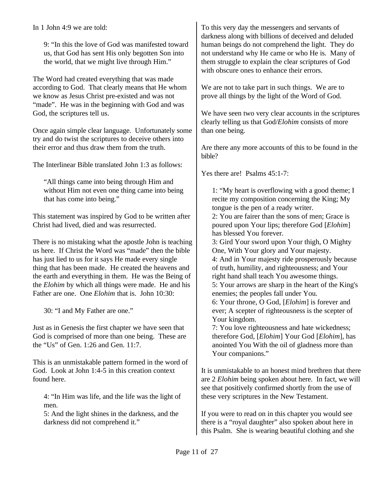In 1 John 4:9 we are told:

9: "In this the love of God was manifested toward us, that God has sent His only begotten Son into the world, that we might live through Him."

The Word had created everything that was made according to God. That clearly means that He whom we know as Jesus Christ pre-existed and was not "made". He was in the beginning with God and was God, the scriptures tell us.

Once again simple clear language. Unfortunately some try and do twist the scriptures to deceive others into their error and thus draw them from the truth.

The Interlinear Bible translated John 1:3 as follows:

"All things came into being through Him and without Him not even one thing came into being that has come into being."

This statement was inspired by God to be written after Christ had lived, died and was resurrected.

There is no mistaking what the apostle John is teaching us here. If Christ the Word was "made" then the bible has just lied to us for it says He made every single thing that has been made. He created the heavens and the earth and everything in them. He was the Being of the *Elohim* by which all things were made. He and his Father are one. One *Elohim* that is. John 10:30:

30: "I and My Father are one."

Just as in Genesis the first chapter we have seen that God is comprised of more than one being. These are the "Us" of Gen. 1:26 and Gen. 11:7.

This is an unmistakable pattern formed in the word of God. Look at John 1:4-5 in this creation context found here.

4: "In Him was life, and the life was the light of men.

5: And the light shines in the darkness, and the darkness did not comprehend it."

To this very day the messengers and servants of darkness along with billions of deceived and deluded human beings do not comprehend the light. They do not understand why He came or who He is. Many of them struggle to explain the clear scriptures of God with obscure ones to enhance their errors.

We are not to take part in such things. We are to prove all things by the light of the Word of God.

We have seen two very clear accounts in the scriptures clearly telling us that God/*Elohim* consists of more than one being.

Are there any more accounts of this to be found in the bible?

Yes there are! Psalms 45:1-7:

1: "My heart is overflowing with a good theme; I recite my composition concerning the King; My tongue is the pen of a ready writer.

2: You are fairer than the sons of men; Grace is poured upon Your lips; therefore God [*Elohim*] has blessed You forever.

3: Gird Your sword upon Your thigh, O Mighty One, With Your glory and Your majesty.

4: And in Your majesty ride prosperously because of truth, humility, and righteousness; and Your right hand shall teach You awesome things.

5: Your arrows are sharp in the heart of the King's enemies; the peoples fall under You.

6: Your throne, O God, [*Elohim*] is forever and ever; A scepter of righteousness is the scepter of Your kingdom.

7: You love righteousness and hate wickedness; therefore God, [*Elohim*] Your God [*Elohim*], has anointed You With the oil of gladness more than Your companions."

It is unmistakable to an honest mind brethren that there are 2 *Elohim* being spoken about here. In fact, we will see that positively confirmed shortly from the use of these very scriptures in the New Testament.

If you were to read on in this chapter you would see there is a "royal daughter" also spoken about here in this Psalm. She is wearing beautiful clothing and she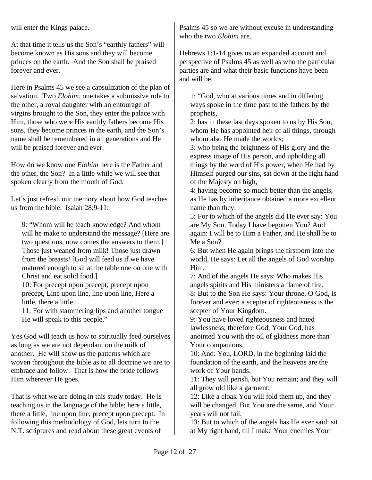will enter the Kings palace.

At that time it tells us the Son's "earthly fathers" will become known as His sons and they will become princes on the earth. And the Son shall be praised forever and ever.

Here in Psalms 45 we see a capsulization of the plan of salvation. Two *Elohim*, one takes a submissive role to the other, a royal daughter with an entourage of virgins brought to the Son, they enter the palace with Him, those who were His earthly fathers become His sons, they become princes in the earth, and the Son's name shall be remembered in all generations and He will be praised forever and ever.

How do we know one *Elohim* here is the Father and the other, the Son? In a little while we will see that spoken clearly from the mouth of God.

Let's just refresh our memory about how God teaches us from the bible. Isaiah 28:9-11:

9: "Whom will he teach knowledge? And whom will he make to understand the message? [Here are two questions, now comes the answers to them.] Those just weaned from milk! Those just drawn from the breasts! [God will feed us if we have matured enough to sit at the table one on one with Christ and eat solid food.]

10: For precept upon precept, precept upon precept, Line upon line, line upon line, Here a little, there a little.

11: For with stammering lips and another tongue He will speak to this people,"

Yes God will teach us how to spiritually feed ourselves as long as we are not dependant on the milk of another. He will show us the patterns which are woven throughout the bible as to all doctrine we are to embrace and follow. That is how the bride follows Him wherever He goes.

That is what we are doing in this study today. He is teaching us in the language of the bible; here a little, there a little, line upon line, precept upon precept. In following this methodology of God, lets turn to the N.T. scriptures and read about these great events of

Psalms 45 so we are without excuse in understanding who the two *Elohim* are.

Hebrews 1:1-14 gives us an expanded account and perspective of Psalms 45 as well as who the particular parties are and what their basic functions have been and will be.

1: "God, who at various times and in differing ways spoke in the time past to the fathers by the prophets,

2: has in these last days spoken to us by His Son, whom He has appointed heir of all things, through whom also He made the worlds;

3: who being the brightness of His glory and the express image of His person, and upholding all things by the word of His power, when He had by Himself purged our sins, sat down at the right hand of the Majesty on high,

4: having become so much better than the angels, as He has by inheritance obtained a more excellent name than they.

5: For to which of the angels did He ever say: You are My Son, Today I have begotten You? And again: I will be to Him a Father, and He shall be to Me a Son?

6: But when He again brings the firstborn into the world, He says: Let all the angels of God worship Him.

7: And of the angels He says: Who makes His angels spirits and His ministers a flame of fire. 8: But to the Son He says: Your throne, O God, is forever and ever; a scepter of righteousness is the scepter of Your Kingdom.

9: You have loved righteousness and hated lawlessness; therefore God, Your God, has anointed You with the oil of gladness more than Your companions.

10: And: You, LORD, in the beginning laid the foundation of the earth, and the heavens are the work of Your hands.

11: They will perish, but You remain; and they will all grow old like a garment;

12: Like a cloak You will fold them up, and they will be changed. But You are the same, and Your years will not fail.

13: But to which of the angels has He ever said: sit at My right hand, till I make Your enemies Your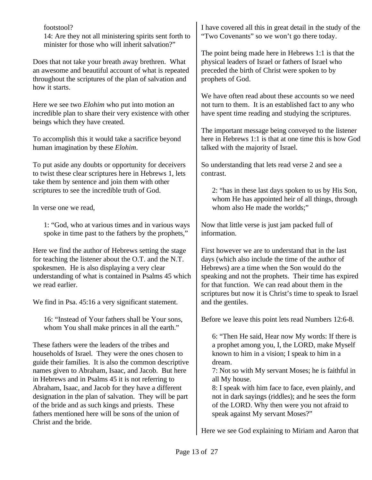footstool? 14: Are they not all ministering spirits sent forth to minister for those who will inherit salvation?"

Does that not take your breath away brethren. What an awesome and beautiful account of what is repeated throughout the scriptures of the plan of salvation and how it starts.

Here we see two *Elohim* who put into motion an incredible plan to share their very existence with other beings which they have created.

To accomplish this it would take a sacrifice beyond human imagination by these *Elohim.*

To put aside any doubts or opportunity for deceivers to twist these clear scriptures here in Hebrews 1, lets take them by sentence and join them with other scriptures to see the incredible truth of God.

In verse one we read,

1: "God, who at various times and in various ways spoke in time past to the fathers by the prophets,"

Here we find the author of Hebrews setting the stage for teaching the listener about the O.T. and the N.T. spokesmen. He is also displaying a very clear understanding of what is contained in Psalms 45 which we read earlier.

We find in Psa. 45:16 a very significant statement.

16: "Instead of Your fathers shall be Your sons, whom You shall make princes in all the earth."

These fathers were the leaders of the tribes and households of Israel. They were the ones chosen to guide their families. It is also the common descriptive names given to Abraham, Isaac, and Jacob. But here in Hebrews and in Psalms 45 it is not referring to Abraham, Isaac, and Jacob for they have a different designation in the plan of salvation. They will be part of the bride and as such kings and priests. These fathers mentioned here will be sons of the union of Christ and the bride.

I have covered all this in great detail in the study of the "Two Covenants" so we won't go there today.

The point being made here in Hebrews 1:1 is that the physical leaders of Israel or fathers of Israel who preceded the birth of Christ were spoken to by prophets of God.

We have often read about these accounts so we need not turn to them. It is an established fact to any who have spent time reading and studying the scriptures.

The important message being conveyed to the listener here in Hebrews 1:1 is that at one time this is how God talked with the majority of Israel.

So understanding that lets read verse 2 and see a contrast.

2: "has in these last days spoken to us by His Son, whom He has appointed heir of all things, through whom also He made the worlds:"

Now that little verse is just jam packed full of information.

First however we are to understand that in the last days (which also include the time of the author of Hebrews) are a time when the Son would do the speaking and not the prophets. Their time has expired for that function. We can read about them in the scriptures but now it is Christ's time to speak to Israel and the gentiles.

Before we leave this point lets read Numbers 12:6-8.

6: "Then He said, Hear now My words: If there is a prophet among you, I, the LORD, make Myself known to him in a vision; I speak to him in a dream.

7: Not so with My servant Moses; he is faithful in all My house.

8: I speak with him face to face, even plainly, and not in dark sayings (riddles); and he sees the form of the LORD. Why then were you not afraid to speak against My servant Moses?"

Here we see God explaining to Miriam and Aaron that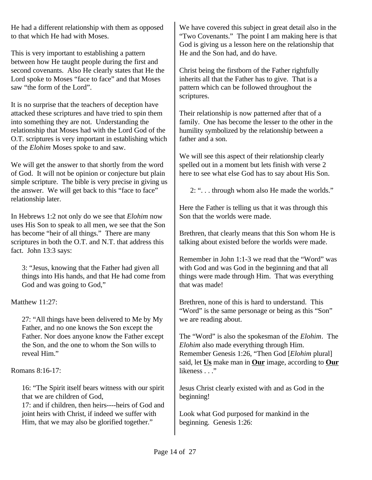He had a different relationship with them as opposed to that which He had with Moses.

This is very important to establishing a pattern between how He taught people during the first and second covenants. Also He clearly states that He the Lord spoke to Moses "face to face" and that Moses saw "the form of the Lord".

It is no surprise that the teachers of deception have attacked these scriptures and have tried to spin them into something they are not. Understanding the relationship that Moses had with the Lord God of the O.T. scriptures is very important in establishing which of the *Elohim* Moses spoke to and saw.

We will get the answer to that shortly from the word of God. It will not be opinion or conjecture but plain simple scripture. The bible is very precise in giving us the answer. We will get back to this "face to face" relationship later.

In Hebrews 1:2 not only do we see that *Elohim* now uses His Son to speak to all men, we see that the Son has become "heir of all things." There are many scriptures in both the O.T. and N.T. that address this fact. John 13:3 says:

3: "Jesus, knowing that the Father had given all things into His hands, and that He had come from God and was going to God,"

Matthew 11:27:

27: "All things have been delivered to Me by My Father, and no one knows the Son except the Father. Nor does anyone know the Father except the Son, and the one to whom the Son wills to reveal Him."

Romans 8:16-17:

16: "The Spirit itself bears witness with our spirit that we are children of God,

17: and if children, then heirs----heirs of God and joint heirs with Christ, if indeed we suffer with Him, that we may also be glorified together."

We have covered this subject in great detail also in the "Two Covenants." The point I am making here is that God is giving us a lesson here on the relationship that He and the Son had, and do have.

Christ being the firstborn of the Father rightfully inherits all that the Father has to give. That is a pattern which can be followed throughout the scriptures.

Their relationship is now patterned after that of a family. One has become the lesser to the other in the humility symbolized by the relationship between a father and a son.

We will see this aspect of their relationship clearly spelled out in a moment but lets finish with verse 2 here to see what else God has to say about His Son.

2: ". . . through whom also He made the worlds."

Here the Father is telling us that it was through this Son that the worlds were made.

Brethren, that clearly means that this Son whom He is talking about existed before the worlds were made.

Remember in John 1:1-3 we read that the "Word" was with God and was God in the beginning and that all things were made through Him. That was everything that was made!

Brethren, none of this is hard to understand. This "Word" is the same personage or being as this "Son" we are reading about.

The "Word" is also the spokesman of the *Elohim*. The *Elohim* also made everything through Him. Remember Genesis 1:26, "Then God [*Elohim* plural] said, let **Us** make man in **Our** image, according to **Our** likeness . . ."

Jesus Christ clearly existed with and as God in the beginning!

Look what God purposed for mankind in the beginning. Genesis 1:26: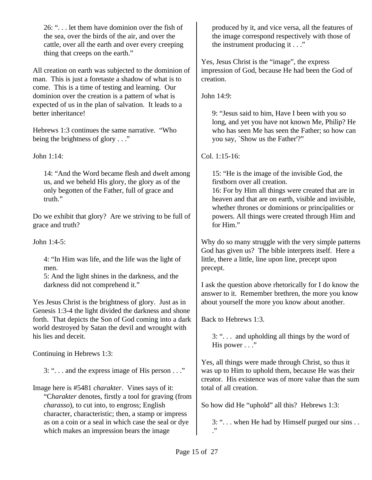26: ". . . let them have dominion over the fish of the sea, over the birds of the air, and over the cattle, over all the earth and over every creeping thing that creeps on the earth."

All creation on earth was subjected to the dominion of man. This is just a foretaste a shadow of what is to come. This is a time of testing and learning. Our dominion over the creation is a pattern of what is expected of us in the plan of salvation. It leads to a better inheritance!

Hebrews 1:3 continues the same narrative. "Who being the brightness of glory . . ."

John 1:14:

14: "And the Word became flesh and dwelt among us, and we beheld His glory, the glory as of the only begotten of the Father, full of grace and truth."

Do we exhibit that glory? Are we striving to be full of grace and truth?

John 1:4-5:

4: "In Him was life, and the life was the light of men.

5: And the light shines in the darkness, and the darkness did not comprehend it."

Yes Jesus Christ is the brightness of glory. Just as in Genesis 1:3-4 the light divided the darkness and shone forth. That depicts the Son of God coming into a dark world destroyed by Satan the devil and wrought with his lies and deceit.

Continuing in Hebrews 1:3:

3: ". . . and the express image of His person . . ."

Image here is #5481 *charakter*. Vines says of it: "C*harakter* denotes, firstly a tool for graving (from *charasso*), to cut into, to engross; English character, characteristic; then, a stamp or impress as on a coin or a seal in which case the seal or dye which makes an impression bears the image

produced by it, and vice versa, all the features of the image correspond respectively with those of the instrument producing it . . ."

Yes, Jesus Christ is the "image", the express impression of God, because He had been the God of creation.

John 14:9:

9: "Jesus said to him, Have I been with you so long, and yet you have not known Me, Philip? He who has seen Me has seen the Father; so how can you say, `Show us the Father'?"

Col. 1:15-16:

15: "He is the image of the invisible God, the firstborn over all creation.

16: For by Him all things were created that are in heaven and that are on earth, visible and invisible, whether thrones or dominions or principalities or powers. All things were created through Him and for Him."

Why do so many struggle with the very simple patterns God has given us? The bible interprets itself. Here a little, there a little, line upon line, precept upon precept.

I ask the question above rhetorically for I do know the answer to it. Remember brethren, the more you know about yourself the more you know about another.

Back to Hebrews 1:3.

3: ". . . and upholding all things by the word of His power . . ."

Yes, all things were made through Christ, so thus it was up to Him to uphold them, because He was their creator. His existence was of more value than the sum total of all creation.

So how did He "uphold" all this? Hebrews 1:3:

3: ". . . when He had by Himself purged our sins . . ."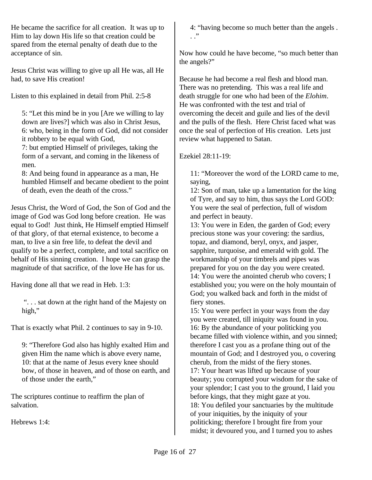He became the sacrifice for all creation. It was up to Him to lay down His life so that creation could be spared from the eternal penalty of death due to the acceptance of sin.

Jesus Christ was willing to give up all He was, all He had, to save His creation!

Listen to this explained in detail from Phil. 2:5-8

5: "Let this mind be in you [Are we willing to lay down are lives?] which was also in Christ Jesus, 6: who, being in the form of God, did not consider it robbery to be equal with God,

7: but emptied Himself of privileges, taking the form of a servant, and coming in the likeness of men.

8: And being found in appearance as a man, He humbled Himself and became obedient to the point of death, even the death of the cross."

Jesus Christ, the Word of God, the Son of God and the image of God was God long before creation. He was equal to God! Just think, He Himself emptied Himself of that glory, of that eternal existence, to become a man, to live a sin free life, to defeat the devil and qualify to be a perfect, complete, and total sacrifice on behalf of His sinning creation. I hope we can grasp the magnitude of that sacrifice, of the love He has for us.

Having done all that we read in Heb. 1:3:

 ". . . sat down at the right hand of the Majesty on high,"

That is exactly what Phil. 2 continues to say in 9-10.

9: "Therefore God also has highly exalted Him and given Him the name which is above every name, 10: that at the name of Jesus every knee should bow, of those in heaven, and of those on earth, and of those under the earth,"

The scriptures continue to reaffirm the plan of salvation.

Hebrews 1:4:

4: "having become so much better than the angels .  $\cdot$  .  $\cdot$ 

Now how could he have become, "so much better than the angels?"

Because he had become a real flesh and blood man. There was no pretending. This was a real life and death struggle for one who had been of the *Elohim*. He was confronted with the test and trial of overcoming the deceit and guile and lies of the devil and the pulls of the flesh. Here Christ faced what was once the seal of perfection of His creation. Lets just review what happened to Satan.

## Ezekiel 28:11-19:

11: "Moreover the word of the LORD came to me, saying,

12: Son of man, take up a lamentation for the king of Tyre, and say to him, thus says the Lord GOD: You were the seal of perfection, full of wisdom and perfect in beauty.

13: You were in Eden, the garden of God; every precious stone was your covering: the sardius, topaz, and diamond, beryl, onyx, and jasper, sapphire, turquoise, and emerald with gold. The workmanship of your timbrels and pipes was prepared for you on the day you were created. 14: You were the anointed cherub who covers; I established you; you were on the holy mountain of God; you walked back and forth in the midst of fiery stones.

15: You were perfect in your ways from the day you were created, till iniquity was found in you. 16: By the abundance of your politicking you became filled with violence within, and you sinned; therefore I cast you as a profane thing out of the mountain of God; and I destroyed you, o covering cherub, from the midst of the fiery stones. 17: Your heart was lifted up because of your beauty; you corrupted your wisdom for the sake of your splendor; I cast you to the ground, I laid you before kings, that they might gaze at you. 18: You defiled your sanctuaries by the multitude of your iniquities, by the iniquity of your politicking; therefore I brought fire from your midst; it devoured you, and I turned you to ashes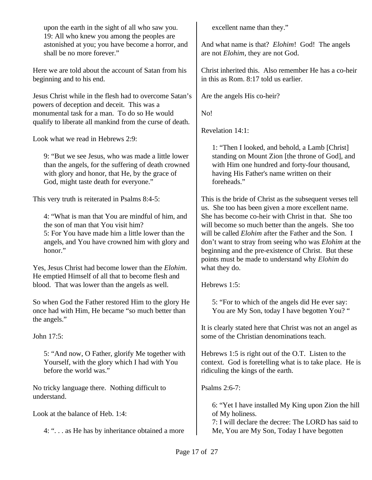upon the earth in the sight of all who saw you. 19: All who knew you among the peoples are astonished at you; you have become a horror, and shall be no more forever."

Here we are told about the account of Satan from his beginning and to his end.

Jesus Christ while in the flesh had to overcome Satan's powers of deception and deceit. This was a monumental task for a man. To do so He would qualify to liberate all mankind from the curse of death.

Look what we read in Hebrews 2:9:

9: "But we see Jesus, who was made a little lower than the angels, for the suffering of death crowned with glory and honor, that He, by the grace of God, might taste death for everyone."

This very truth is reiterated in Psalms 8:4-5:

4: "What is man that You are mindful of him, and the son of man that You visit him?

5: For You have made him a little lower than the angels, and You have crowned him with glory and honor."

Yes, Jesus Christ had become lower than the *Elohim*. He emptied Himself of all that to become flesh and blood. That was lower than the angels as well.

So when God the Father restored Him to the glory He once had with Him, He became "so much better than the angels."

John 17:5:

5: "And now, O Father, glorify Me together with Yourself, with the glory which I had with You before the world was."

No tricky language there. Nothing difficult to understand.

Look at the balance of Heb. 1:4:

4: ". . . as He has by inheritance obtained a more

excellent name than they."

And what name is that? *Elohim*! God! The angels are not *Elohim*, they are not God.

Christ inherited this. Also remember He has a co-heir in this as Rom. 8:17 told us earlier.

Are the angels His co-heir?

No!

Revelation 14:1:

1: "Then I looked, and behold, a Lamb [Christ] standing on Mount Zion [the throne of God], and with Him one hundred and forty-four thousand, having His Father's name written on their foreheads."

This is the bride of Christ as the subsequent verses tell us. She too has been given a more excellent name. She has become co-heir with Christ in that. She too will become so much better than the angels. She too will be called *Elohim* after the Father and the Son. I don't want to stray from seeing who was *Elohim* at the beginning and the pre-existence of Christ. But these points must be made to understand why *Elohim* do what they do.

Hebrews 1:5:

5: "For to which of the angels did He ever say: You are My Son, today I have begotten You? "

It is clearly stated here that Christ was not an angel as some of the Christian denominations teach.

Hebrews 1:5 is right out of the O.T. Listen to the context. God is foretelling what is to take place. He is ridiculing the kings of the earth.

Psalms 2:6-7:

6: "Yet I have installed My King upon Zion the hill of My holiness.

7: I will declare the decree: The LORD has said to Me, You are My Son, Today I have begotten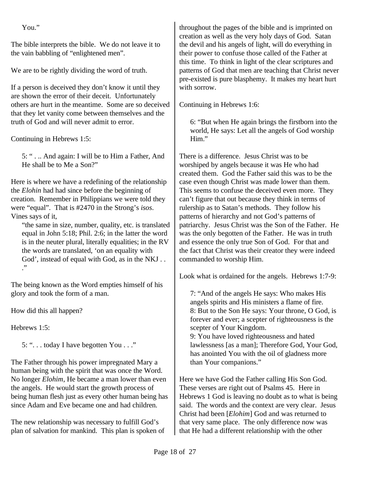You."

The bible interprets the bible. We do not leave it to the vain babbling of "enlightened men".

We are to be rightly dividing the word of truth.

If a person is deceived they don't know it until they are shown the error of their deceit. Unfortunately others are hurt in the meantime. Some are so deceived that they let vanity come between themselves and the truth of God and will never admit to error.

Continuing in Hebrews 1:5:

5: " . .. And again: I will be to Him a Father, And He shall be to Me a Son?"

Here is where we have a redefining of the relationship the *Elohin* had had since before the beginning of creation. Remember in Philippians we were told they were "equal". That is #2470 in the Strong's *isos*. Vines says of it,

"the same in size, number, quality, etc. is translated equal in John 5:18; Phil. 2:6; in the latter the word is in the neuter plural, literally equalities; in the RV the words are translated, 'on an equality with God', instead of equal with God, as in the NKJ . . ."

The being known as the Word empties himself of his glory and took the form of a man.

How did this all happen?

Hebrews 1:5:

5: ". . . today I have begotten You . . ."

The Father through his power impregnated Mary a human being with the spirit that was once the Word. No longer *Elohim*, He became a man lower than even the angels. He would start the growth process of being human flesh just as every other human being has since Adam and Eve became one and had children.

The new relationship was necessary to fulfill God's plan of salvation for mankind. This plan is spoken of throughout the pages of the bible and is imprinted on creation as well as the very holy days of God. Satan the devil and his angels of light, will do everything in their power to confuse those called of the Father at this time. To think in light of the clear scriptures and patterns of God that men are teaching that Christ never pre-existed is pure blasphemy. It makes my heart hurt with sorrow.

Continuing in Hebrews 1:6:

6: "But when He again brings the firstborn into the world, He says: Let all the angels of God worship Him."

There is a difference. Jesus Christ was to be worshiped by angels because it was He who had created them. God the Father said this was to be the case even though Christ was made lower than them. This seems to confuse the deceived even more. They can't figure that out because they think in terms of rulership as to Satan's methods. They follow his patterns of hierarchy and not God's patterns of patriarchy. Jesus Christ was the Son of the Father. He was the only begotten of the Father. He was in truth and essence the only true Son of God. For that and the fact that Christ was their creator they were indeed commanded to worship Him.

Look what is ordained for the angels. Hebrews 1:7-9:

7: "And of the angels He says: Who makes His angels spirits and His ministers a flame of fire. 8: But to the Son He says: Your throne, O God, is forever and ever; a scepter of righteousness is the scepter of Your Kingdom.

9: You have loved righteousness and hated lawlessness [as a man]; Therefore God, Your God, has anointed You with the oil of gladness more than Your companions."

Here we have God the Father calling His Son God. These verses are right out of Psalms 45. Here in Hebrews 1 God is leaving no doubt as to what is being said. The words and the context are very clear. Jesus Christ had been [*Elohim*] God and was returned to that very same place. The only difference now was that He had a different relationship with the other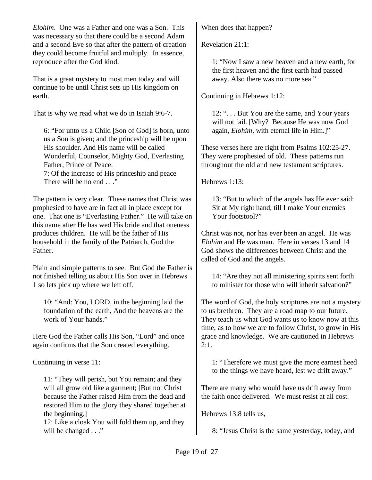*Elohim*. One was a Father and one was a Son. This was necessary so that there could be a second Adam and a second Eve so that after the pattern of creation they could become fruitful and multiply. In essence, reproduce after the God kind.

That is a great mystery to most men today and will continue to be until Christ sets up His kingdom on earth.

That is why we read what we do in Isaiah 9:6-7.

6: "For unto us a Child [Son of God] is born, unto us a Son is given; and the princeship will be upon His shoulder. And His name will be called Wonderful, Counselor, Mighty God, Everlasting Father, Prince of Peace. 7: Of the increase of His princeship and peace

There will be no end . . ."

The pattern is very clear. These names that Christ was prophesied to have are in fact all in place except for one. That one is "Everlasting Father." He will take on this name after He has wed His bride and that oneness produces children. He will be the father of His household in the family of the Patriarch, God the Father.

Plain and simple patterns to see. But God the Father is not finished telling us about His Son over in Hebrews 1 so lets pick up where we left off.

10: "And: You, LORD, in the beginning laid the foundation of the earth, And the heavens are the work of Your hands."

Here God the Father calls His Son, "Lord" and once again confirms that the Son created everything.

Continuing in verse 11:

11: "They will perish, but You remain; and they will all grow old like a garment; [But not Christ because the Father raised Him from the dead and restored Him to the glory they shared together at the beginning.]

12: Like a cloak You will fold them up, and they will be changed . . ."

When does that happen?

Revelation 21:1:

1: "Now I saw a new heaven and a new earth, for the first heaven and the first earth had passed away. Also there was no more sea."

Continuing in Hebrews 1:12:

12: ". . . But You are the same, and Your years will not fail. [Why? Because He was now God again, *Elohim*, with eternal life in Him.]"

These verses here are right from Psalms 102:25-27. They were prophesied of old. These patterns run throughout the old and new testament scriptures.

Hebrews 1:13:

13: "But to which of the angels has He ever said: Sit at My right hand, till I make Your enemies Your footstool?"

Christ was not, nor has ever been an angel. He was *Elohim* and He was man. Here in verses 13 and 14 God shows the differences between Christ and the called of God and the angels.

14: "Are they not all ministering spirits sent forth to minister for those who will inherit salvation?"

The word of God, the holy scriptures are not a mystery to us brethren. They are a road map to our future. They teach us what God wants us to know now at this time, as to how we are to follow Christ, to grow in His grace and knowledge. We are cautioned in Hebrews 2:1.

1: "Therefore we must give the more earnest heed to the things we have heard, lest we drift away."

There are many who would have us drift away from the faith once delivered. We must resist at all cost.

Hebrews 13:8 tells us,

8: "Jesus Christ is the same yesterday, today, and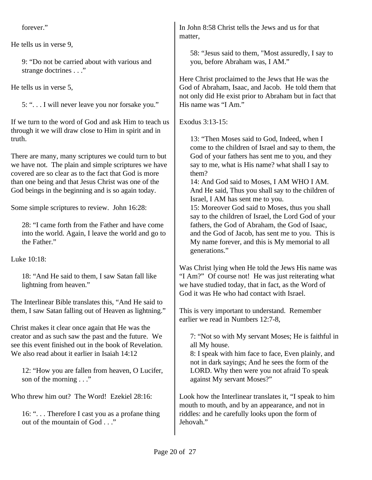forever."

He tells us in verse 9,

9: "Do not be carried about with various and strange doctrines . . ."

He tells us in verse 5,

5: ". . . I will never leave you nor forsake you."

If we turn to the word of God and ask Him to teach us through it we will draw close to Him in spirit and in truth.

There are many, many scriptures we could turn to but we have not. The plain and simple scriptures we have covered are so clear as to the fact that God is more than one being and that Jesus Christ was one of the God beings in the beginning and is so again today.

Some simple scriptures to review. John 16:28:

28: "I came forth from the Father and have come into the world. Again, I leave the world and go to the Father."

Luke 10:18:

18: "And He said to them, I saw Satan fall like lightning from heaven."

The Interlinear Bible translates this, "And He said to them, I saw Satan falling out of Heaven as lightning."

Christ makes it clear once again that He was the creator and as such saw the past and the future. We see this event finished out in the book of Revelation. We also read about it earlier in Isaiah 14:12

12: "How you are fallen from heaven, O Lucifer, son of the morning . . ."

Who threw him out? The Word! Ezekiel 28:16:

16: ". . . Therefore I cast you as a profane thing out of the mountain of God . . ."

In John 8:58 Christ tells the Jews and us for that matter,

58: "Jesus said to them, "Most assuredly, I say to you, before Abraham was, I AM."

Here Christ proclaimed to the Jews that He was the God of Abraham, Isaac, and Jacob. He told them that not only did He exist prior to Abraham but in fact that His name was "I Am."

Exodus 3:13-15:

13: "Then Moses said to God, Indeed, when I come to the children of Israel and say to them, the God of your fathers has sent me to you, and they say to me, what is His name? what shall I say to them?

14: And God said to Moses, I AM WHO I AM. And He said, Thus you shall say to the children of Israel, I AM has sent me to you.

15: Moreover God said to Moses, thus you shall say to the children of Israel, the Lord God of your fathers, the God of Abraham, the God of Isaac, and the God of Jacob, has sent me to you. This is My name forever, and this is My memorial to all generations."

Was Christ lying when He told the Jews His name was "I Am?" Of course not! He was just reiterating what we have studied today, that in fact, as the Word of God it was He who had contact with Israel.

This is very important to understand. Remember earlier we read in Numbers 12:7-8,

7: "Not so with My servant Moses; He is faithful in all My house.

8: I speak with him face to face, Even plainly, and not in dark sayings; And he sees the form of the LORD. Why then were you not afraid To speak against My servant Moses?"

Look how the Interlinear translates it, "I speak to him mouth to mouth, and by an appearance, and not in riddles: and he carefully looks upon the form of Jehovah."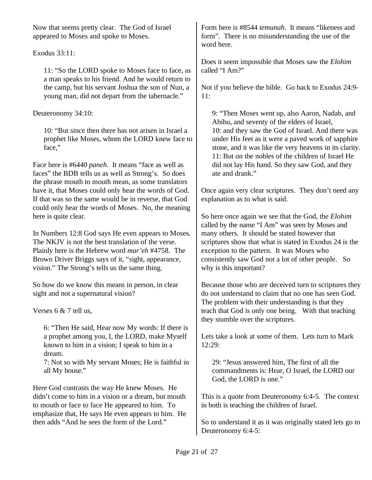Now that seems pretty clear. The God of Israel appeared to Moses and spoke to Moses.

### Exodus 33:11:

11: "So the LORD spoke to Moses face to face, as a man speaks to his friend. And he would return to the camp, but his servant Joshua the son of Nun, a young man, did not depart from the tabernacle."

### Deuteronomy 34:10:

10: "But since then there has not arisen in Israel a prophet like Moses, whom the LORD knew face to face,"

Face here is #6440 *paneh*. It means "face as well as faces" the BDB tells us as well as Strong's. So does the phrase mouth to mouth mean, as some translators have it, that Moses could only hear the words of God. If that was so the same would be in reverse, that God could only hear the words of Moses. No, the meaning here is quite clear.

In Numbers 12:8 God says He even appears to Moses. The NKJV is not the best translation of the verse. Plainly here is the Hebrew word *mar'eh* #4758. The Brown Driver Briggs says of it, "sight, appearance, vision." The Strong's tells us the same thing.

So how do we know this means in person, in clear sight and not a supernatural vision?

Verses 6 & 7 tell us,

6: "Then He said, Hear now My words: If there is a prophet among you, I, the LORD, make Myself known to him in a vision; I speak to him in a dream.

7: Not so with My servant Moses; He is faithful in all My house."

Here God contrasts the way He knew Moses. He didn't come to him in a vision or a dream, but mouth to mouth or face to face He appeared to him. To emphasize that, He says He even appears to him. He then adds "And he sees the form of the Lord."

Form here is #8544 *temunah*. It means "likeness and form". There is no misunderstanding the use of the word here.

Does it seem impossible that Moses saw the *Elohim* called "I Am?"

Not if you believe the bible. Go back to Exodus 24:9- 11:

9: "Then Moses went up, also Aaron, Nadab, and Abihu, and seventy of the elders of Israel, 10: and they saw the God of Israel. And there was under His feet as it were a paved work of sapphire stone, and it was like the very heavens in its clarity. 11: But on the nobles of the children of Israel He did not lay His hand. So they saw God, and they ate and drank."

Once again very clear scriptures. They don't need any explanation as to what is said.

So here once again we see that the God, the *Elohim* called by the name "I Am" was seen by Moses and many others. It should be stated however that scriptures show that what is stated in Exodus 24 is the exception to the pattern. It was Moses who consistently saw God not a lot of other people. So why is this important?

Because those who are deceived turn to scriptures they do not understand to claim that no one has seen God. The problem with their understanding is that they teach that God is only one being. With that teaching they stumble over the scriptures.

Lets take a look at some of them. Lets turn to Mark 12:29:

29: "Jesus answered him, The first of all the commandments is: Hear, O Israel, the LORD our God, the LORD is one."

This is a quote from Deuteronomy 6:4-5. The context in both is teaching the children of Israel.

So to understand it as it was originally stated lets go to Deuteronomy 6:4-5: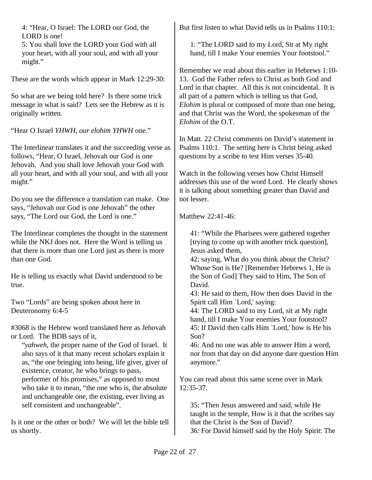4: "Hear, O Israel: The LORD our God, the LORD is one!

5: You shall love the LORD your God with all your heart, with all your soul, and with all your might."

These are the words which appear in Mark 12:29-30:

So what are we being told here? Is there some trick message in what is said? Lets see the Hebrew as it is originally written.

"Hear O Israel *YHWH, our elohim YHWH* one."

The Interlinear translates it and the succeeding verse as follows, "Hear, O Israel, Jehovah our God is one Jehovah. And you shall love Jehovah your God with all your heart, and with all your soul, and with all your might."

Do you see the difference a translation can make. One says, "Jehovah our God is one Jehovah" the other says, "The Lord our God, the Lord is one."

The Interlinear completes the thought in the statement while the NKJ does not. Here the Word is telling us that there is more than one Lord just as there is more than one God.

He is telling us exactly what David understood to be true.

Two "Lords" are being spoken about here in Deuteronomy 6:4-5

#3068 is the Hebrew word translated here as Jehovah or Lord. The BDB says of it,

"*yahweh*, the proper name of the God of Israel. It also says of it that many recent scholars explain it as, "the one bringing into being, life giver, giver of existence, creator, he who brings to pass, performer of his promises," as opposed to most who take it to mean, "the one who is, the absolute and unchangeable one, the existing, ever living as self consistent and unchangeable".

Is it one or the other or both? We will let the bible tell us shortly.

But first listen to what David tells us in Psalms 110:1:

1: "The LORD said to my Lord, Sit at My right hand, till I make Your enemies Your footstool."

Remember we read about this earlier in Hebrews 1:10- 13. God the Father refers to Christ as both God and Lord in that chapter. All this is not coincidental. It is all part of a pattern which is telling us that God, *Elohim* is plural or composed of more than one being, and that Christ was the Word, the spokesman of the *Elohim* of the O.T.

In Matt. 22 Christ comments on David's statement in Psalms 110:1. The setting here is Christ being asked questions by a scribe to test Him verses 35-40.

Watch in the following verses how Christ Himself addresses this use of the word Lord. He clearly shows it is talking about something greater than David and not lesser.

Matthew 22:41-46:

41: "While the Pharisees were gathered together [trying to come up with another trick question], Jesus asked them,

42: saying, What do you think about the Christ? Whose Son is He? [Remember Hebrews 1, He is the Son of God] They said to Him, The Son of David.

43: He said to them, How then does David in the Spirit call Him `Lord,' saying:

44: The LORD said to my Lord, sit at My right hand, till I make Your enemies Your footstool? 45: If David then calls Him `Lord,' how is He his Son?

46: And no one was able to answer Him a word, nor from that day on did anyone dare question Him anymore."

You can read about this same scene over in Mark 12:35-37.

35: "Then Jesus answered and said, while He taught in the temple, How is it that the scribes say that the Christ is the Son of David? 36: For David himself said by the Holy Spirit: The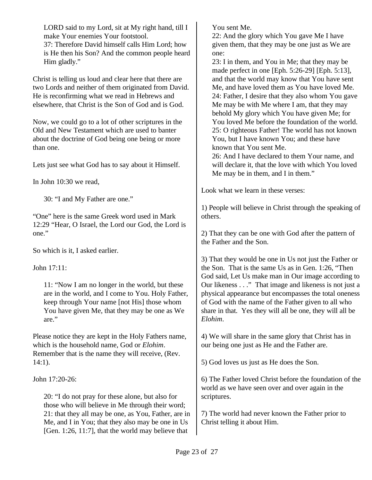LORD said to my Lord, sit at My right hand, till I make Your enemies Your footstool.

37: Therefore David himself calls Him Lord; how is He then his Son? And the common people heard Him gladly."

Christ is telling us loud and clear here that there are two Lords and neither of them originated from David. He is reconfirming what we read in Hebrews and elsewhere, that Christ is the Son of God and is God.

Now, we could go to a lot of other scriptures in the Old and New Testament which are used to banter about the doctrine of God being one being or more than one.

Lets just see what God has to say about it Himself.

In John 10:30 we read,

30: "I and My Father are one."

"One" here is the same Greek word used in Mark 12:29 "Hear, O Israel, the Lord our God, the Lord is one."

So which is it, I asked earlier.

John 17:11:

11: "Now I am no longer in the world, but these are in the world, and I come to You. Holy Father, keep through Your name [not His] those whom You have given Me, that they may be one as We are."

Please notice they are kept in the Holy Fathers name, which is the household name, God or *Elohim*. Remember that is the name they will receive, (Rev. 14:1).

John 17:20-26:

20: "I do not pray for these alone, but also for those who will believe in Me through their word; 21: that they all may be one, as You, Father, are in Me, and I in You; that they also may be one in Us [Gen. 1:26, 11:7], that the world may believe that

You sent Me.

22: And the glory which You gave Me I have given them, that they may be one just as We are one:

23: I in them, and You in Me; that they may be made perfect in one [Eph. 5:26-29] [Eph. 5:13], and that the world may know that You have sent Me, and have loved them as You have loved Me. 24: Father, I desire that they also whom You gave Me may be with Me where I am, that they may behold My glory which You have given Me; for You loved Me before the foundation of the world. 25: O righteous Father! The world has not known You, but I have known You; and these have known that You sent Me.

26: And I have declared to them Your name, and will declare it, that the love with which You loved Me may be in them, and I in them."

Look what we learn in these verses:

1) People will believe in Christ through the speaking of others.

2) That they can be one with God after the pattern of the Father and the Son.

3) That they would be one in Us not just the Father or the Son. That is the same Us as in Gen. 1:26, "Then God said, Let Us make man in Our image according to Our likeness . . ." That image and likeness is not just a physical appearance but encompasses the total oneness of God with the name of the Father given to all who share in that. Yes they will all be one, they will all be *Elohim*.

4) We will share in the same glory that Christ has in our being one just as He and the Father are.

5) God loves us just as He does the Son.

6) The Father loved Christ before the foundation of the world as we have seen over and over again in the scriptures.

7) The world had never known the Father prior to Christ telling it about Him.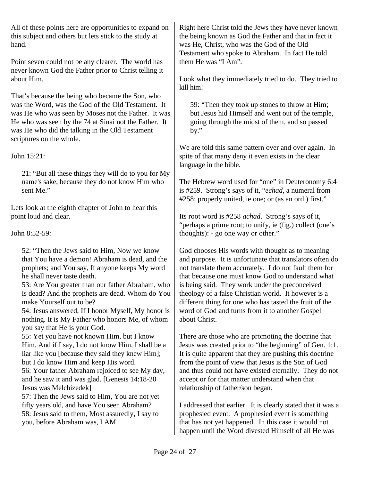All of these points here are opportunities to expand on this subject and others but lets stick to the study at hand.

Point seven could not be any clearer. The world has never known God the Father prior to Christ telling it about Him.

That's because the being who became the Son, who was the Word, was the God of the Old Testament. It was He who was seen by Moses not the Father. It was He who was seen by the 74 at Sinai not the Father. It was He who did the talking in the Old Testament scriptures on the whole.

John 15:21:

21: "But all these things they will do to you for My name's sake, because they do not know Him who sent Me."

Lets look at the eighth chapter of John to hear this point loud and clear.

John 8:52-59:

52: "Then the Jews said to Him, Now we know that You have a demon! Abraham is dead, and the prophets; and You say, If anyone keeps My word he shall never taste death.

53: Are You greater than our father Abraham, who is dead? And the prophets are dead. Whom do You make Yourself out to be?

54: Jesus answered, If I honor Myself, My honor is nothing. It is My Father who honors Me, of whom you say that He is your God.

55: Yet you have not known Him, but I know Him. And if I say, I do not know Him, I shall be a liar like you [because they said they knew Him]; but I do know Him and keep His word.

56: Your father Abraham rejoiced to see My day, and he saw it and was glad. [Genesis 14:18-20 Jesus was Melchizedek]

57: Then the Jews said to Him, You are not yet fifty years old, and have You seen Abraham? 58: Jesus said to them, Most assuredly, I say to you, before Abraham was, I AM.

Right here Christ told the Jews they have never known the being known as God the Father and that in fact it was He, Christ, who was the God of the Old Testament who spoke to Abraham. In fact He told them He was "I Am".

Look what they immediately tried to do. They tried to kill him!

59: "Then they took up stones to throw at Him; but Jesus hid Himself and went out of the temple, going through the midst of them, and so passed by."

We are told this same pattern over and over again. In spite of that many deny it even exists in the clear language in the bible.

The Hebrew word used for "one" in Deuteronomy 6:4 is #259. Strong's says of it, "*echad*, a numeral from #258; properly united, ie one; or (as an ord.) first."

Its root word is #258 *achad*. Strong's says of it, "perhaps a prime root; to unify, ie (fig.) collect (one's thoughts): - go one way or other."

God chooses His words with thought as to meaning and purpose. It is unfortunate that translators often do not translate them accurately. I do not fault them for that because one must know God to understand what is being said. They work under the preconceived theology of a false Christian world. It however is a different thing for one who has tasted the fruit of the word of God and turns from it to another Gospel about Christ.

There are those who are promoting the doctrine that Jesus was created prior to "the beginning" of Gen. 1:1. It is quite apparent that they are pushing this doctrine from the point of view that Jesus is the Son of God and thus could not have existed eternally. They do not accept or for that matter understand when that relationship of father/son began.

I addressed that earlier. It is clearly stated that it was a prophesied event. A prophesied event is something that has not yet happened. In this case it would not happen until the Word divested Himself of all He was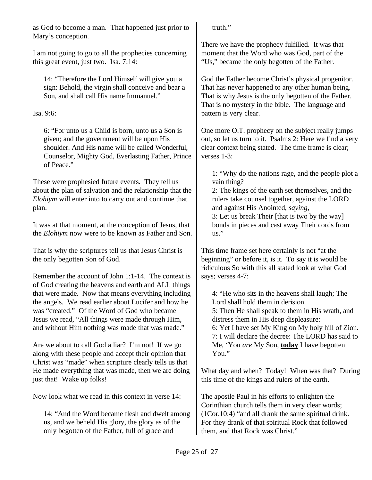as God to become a man. That happened just prior to Mary's conception.

I am not going to go to all the prophecies concerning this great event, just two. Isa. 7:14:

14: "Therefore the Lord Himself will give you a sign: Behold, the virgin shall conceive and bear a Son, and shall call His name Immanuel."

Isa. 9:6:

6: "For unto us a Child is born, unto us a Son is given; and the government will be upon His shoulder. And His name will be called Wonderful, Counselor, Mighty God, Everlasting Father, Prince of Peace."

These were prophesied future events. They tell us about the plan of salvation and the relationship that the *Elohiym* will enter into to carry out and continue that plan.

It was at that moment, at the conception of Jesus, that the *Elohiym* now were to be known as Father and Son.

That is why the scriptures tell us that Jesus Christ is the only begotten Son of God.

Remember the account of John 1:1-14. The context is of God creating the heavens and earth and ALL things that were made. Now that means everything including the angels. We read earlier about Lucifer and how he was "created." Of the Word of God who became Jesus we read, "All things were made through Him, and without Him nothing was made that was made."

Are we about to call God a liar? I'm not! If we go along with these people and accept their opinion that Christ was "made" when scripture clearly tells us that He made everything that was made, then we are doing just that! Wake up folks!

Now look what we read in this context in verse 14:

14: "And the Word became flesh and dwelt among us, and we beheld His glory, the glory as of the only begotten of the Father, full of grace and

truth."

There we have the prophecy fulfilled. It was that moment that the Word who was God, part of the "Us," became the only begotten of the Father.

God the Father become Christ's physical progenitor. That has never happened to any other human being. That is why Jesus is the only begotten of the Father. That is no mystery in the bible. The language and pattern is very clear.

One more O.T. prophecy on the subject really jumps out, so let us turn to it. Psalms 2: Here we find a very clear context being stated. The time frame is clear; verses 1-3:

1: "Why do the nations rage, and the people plot a vain thing?

2: The kings of the earth set themselves, and the rulers take counsel together, against the LORD and against His Anointed, *saying*,

3: Let us break Their [that is two by the way] bonds in pieces and cast away Their cords from us."

This time frame set here certainly is not "at the beginning" or before it, is it. To say it is would be ridiculous So with this all stated look at what God says; verses 4-7:

4: "He who sits in the heavens shall laugh; The Lord shall hold them in derision. 5: Then He shall speak to them in His wrath, and distress them in His deep displeasure: 6: Yet I have set My King on My holy hill of Zion. 7: I will declare the decree: The LORD has said to Me, 'You *are* My Son, **today** I have begotten You."

What day and when? Today! When was that? During this time of the kings and rulers of the earth.

The apostle Paul in his efforts to enlighten the Corinthian church tells them in very clear words; (1Cor.10:4) "and all drank the same spiritual drink. For they drank of that spiritual Rock that followed them, and that Rock was Christ."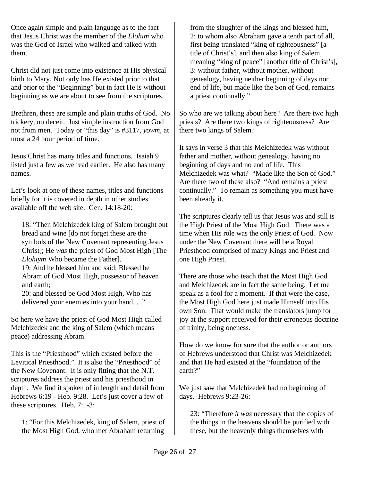Once again simple and plain language as to the fact that Jesus Christ was the member of the *Elohim* who was the God of Israel who walked and talked with them.

Christ did not just come into existence at His physical birth to Mary. Not only has He existed prior to that and prior to the "Beginning" but in fact He is without beginning as we are about to see from the scriptures.

Brethren, these are simple and plain truths of God. No trickery, no deceit. Just simple instruction from God not from men. Today or "this day" is #3117, *yowm*, at most a 24 hour period of time.

Jesus Christ has many titles and functions. Isaiah 9 listed just a few as we read earlier. He also has many names.

Let's look at one of these names, titles and functions briefly for it is covered in depth in other studies available off the web site. Gen. 14:18-20:

18: "Then Melchizedek king of Salem brought out bread and wine [do not forget these are the symbols of the New Covenant representing Jesus Christ]; He *was* the priest of God Most High [The *Elohiym* Who became the Father]. 19: And he blessed him and said: Blessed be

Abram of God Most High, possessor of heaven and earth;

20: and blessed be God Most High, Who has delivered your enemies into your hand. . ."

So here we have the priest of God Most High called Melchizedek and the king of Salem (which means peace) addressing Abram.

This is the "Priesthood" which existed before the Levitical Priesthood." It is also the "Priesthood" of the New Covenant. It is only fitting that the N.T. scriptures address the priest and his priesthood in depth. We find it spoken of in length and detail from Hebrews 6:19 - Heb. 9:28. Let's just cover a few of these scriptures. Heb. 7:1-3:

1: "For this Melchizedek, king of Salem, priest of the Most High God, who met Abraham returning from the slaughter of the kings and blessed him, 2: to whom also Abraham gave a tenth part of all, first being translated "king of righteousness" [a title of Christ's], and then also king of Salem, meaning "king of peace" [another title of Christ's], 3: without father, without mother, without genealogy, having neither beginning of days nor end of life, but made like the Son of God, remains a priest continually."

So who are we talking about here? Are there two high priests? Are there two kings of righteousness? Are there two kings of Salem?

It says in verse 3 that this Melchizedek was without father and mother, without genealogy, having no beginning of days and no end of life. This Melchizedek was what? "Made like the Son of God." Are there two of these also? "And remains a priest continually." To remain as something you must have been already it.

The scriptures clearly tell us that Jesus was and still is the High Priest of the Most High God. There was a time when His role was the only Priest of God. Now under the New Covenant there will be a Royal Priesthood comprised of many Kings and Priest and one High Priest.

There are those who teach that the Most High God and Melchizedek are in fact the same being. Let me speak as a fool for a moment. If that were the case, the Most High God here just made Himself into His own Son. That would make the translators jump for joy at the support received for their erroneous doctrine of trinity, being oneness.

How do we know for sure that the author or authors of Hebrews understood that Christ was Melchizedek and that He had existed at the "foundation of the earth?"

We just saw that Melchizedek had no beginning of days. Hebrews 9:23-26:

23: "Therefore *it was* necessary that the copies of the things in the heavens should be purified with these, but the heavenly things themselves with